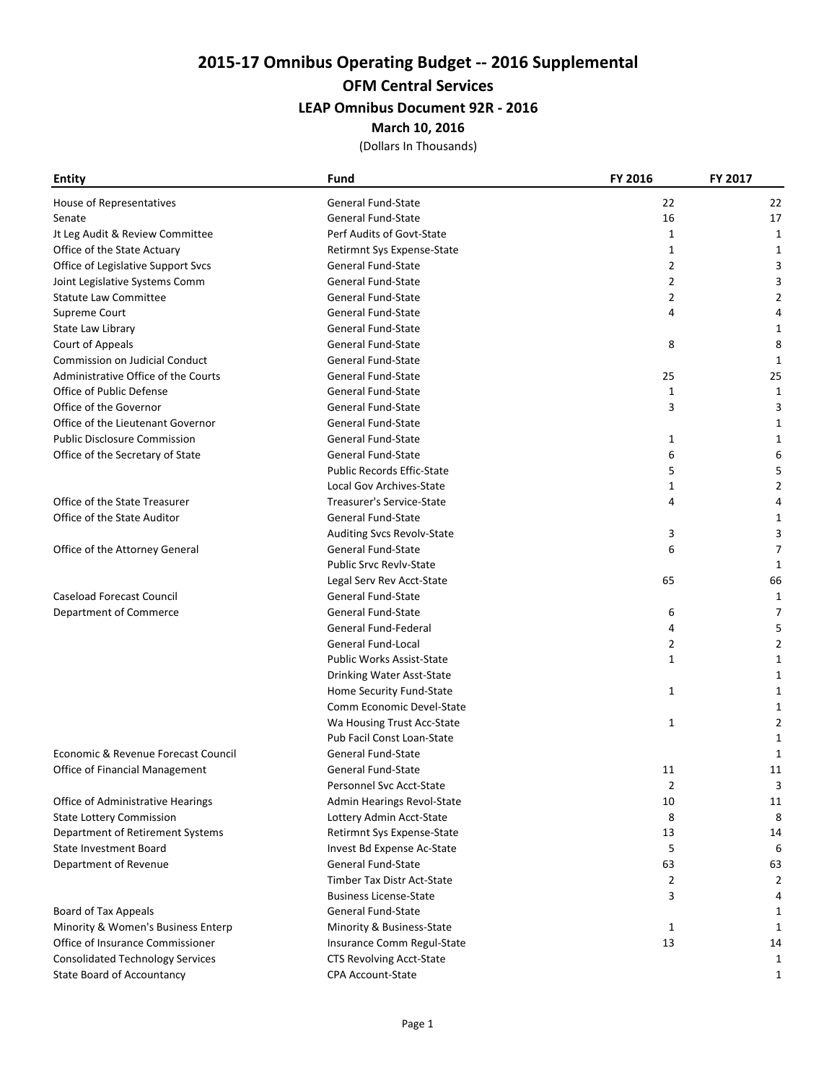# OFM Central Services

## LEAP Omnibus Document 92R - 2016

#### March 10, 2016

| <b>Entity</b>                           | Fund                              | <b>FY 2016</b> | FY 2017     |
|-----------------------------------------|-----------------------------------|----------------|-------------|
| House of Representatives                | General Fund-State                | 22             | 22          |
| Senate                                  | <b>General Fund-State</b>         | 16             | 17          |
| Jt Leg Audit & Review Committee         | Perf Audits of Govt-State         | 1              | 1           |
| Office of the State Actuary             | Retirmnt Sys Expense-State        | 1              | 1           |
| Office of Legislative Support Svcs      | General Fund-State                | $\overline{2}$ | 3           |
| Joint Legislative Systems Comm          | <b>General Fund-State</b>         | $\overline{2}$ | 3           |
| <b>Statute Law Committee</b>            | <b>General Fund-State</b>         | $\overline{2}$ | 2           |
| Supreme Court                           | <b>General Fund-State</b>         | 4              |             |
| State Law Library                       | <b>General Fund-State</b>         |                | 1           |
| Court of Appeals                        | <b>General Fund-State</b>         | 8              | 8           |
| Commission on Judicial Conduct          | <b>General Fund-State</b>         |                | 1           |
| Administrative Office of the Courts     | <b>General Fund-State</b>         | 25             | 25          |
| Office of Public Defense                | <b>General Fund-State</b>         | $\mathbf{1}$   | 1           |
| Office of the Governor                  | <b>General Fund-State</b>         | 3              | 3           |
| Office of the Lieutenant Governor       | <b>General Fund-State</b>         |                | 1           |
| <b>Public Disclosure Commission</b>     | <b>General Fund-State</b>         | 1              | 1           |
| Office of the Secretary of State        | General Fund-State                | 6              | 6           |
|                                         | <b>Public Records Effic-State</b> | 5              | 5           |
|                                         | Local Gov Archives-State          | 1              | 2           |
| Office of the State Treasurer           | Treasurer's Service-State         | 4              | 4           |
| Office of the State Auditor             | <b>General Fund-State</b>         |                | 1           |
|                                         | Auditing Svcs Revolv-State        | 3              | 3           |
| Office of the Attorney General          | General Fund-State                | 6              | 7           |
|                                         | <b>Public Srvc Revlv-State</b>    |                | $\mathbf 1$ |
|                                         | Legal Serv Rev Acct-State         | 65             | 66          |
| <b>Caseload Forecast Council</b>        | <b>General Fund-State</b>         |                | 1           |
| Department of Commerce                  | <b>General Fund-State</b>         | 6              | 7           |
|                                         | <b>General Fund-Federal</b>       | 4              | 5           |
|                                         | General Fund-Local                | $\overline{2}$ | 2           |
|                                         | <b>Public Works Assist-State</b>  | 1              | 1           |
|                                         | Drinking Water Asst-State         |                | 1           |
|                                         | Home Security Fund-State          | 1              | 1           |
|                                         | Comm Economic Devel-State         |                | 1           |
|                                         | Wa Housing Trust Acc-State        | $\mathbf{1}$   | 2           |
|                                         | Pub Facil Const Loan-State        |                | 1           |
| Economic & Revenue Forecast Council     | <b>General Fund-State</b>         |                | 1           |
| Office of Financial Management          | <b>General Fund-State</b>         | 11             | 11          |
|                                         | Personnel Svc Acct-State          | 2              | 3           |
| Office of Administrative Hearings       | Admin Hearings Revol-State        | 10             | 11          |
| <b>State Lottery Commission</b>         | Lottery Admin Acct-State          | 8              | 8           |
| Department of Retirement Systems        | Retirmnt Sys Expense-State        | 13             | 14          |
| <b>State Investment Board</b>           | Invest Bd Expense Ac-State        | 5              | 6           |
| Department of Revenue                   | General Fund-State                | 63             | 63          |
|                                         | Timber Tax Distr Act-State        | 2              | 2           |
|                                         | <b>Business License-State</b>     | 3              | 4           |
| Board of Tax Appeals                    | General Fund-State                |                | 1           |
| Minority & Women's Business Enterp      | Minority & Business-State         | 1              | 1           |
| Office of Insurance Commissioner        | Insurance Comm Regul-State        | 13             | 14          |
| <b>Consolidated Technology Services</b> | <b>CTS Revolving Acct-State</b>   |                | 1           |
| <b>State Board of Accountancy</b>       | CPA Account-State                 |                | 1           |
|                                         |                                   |                |             |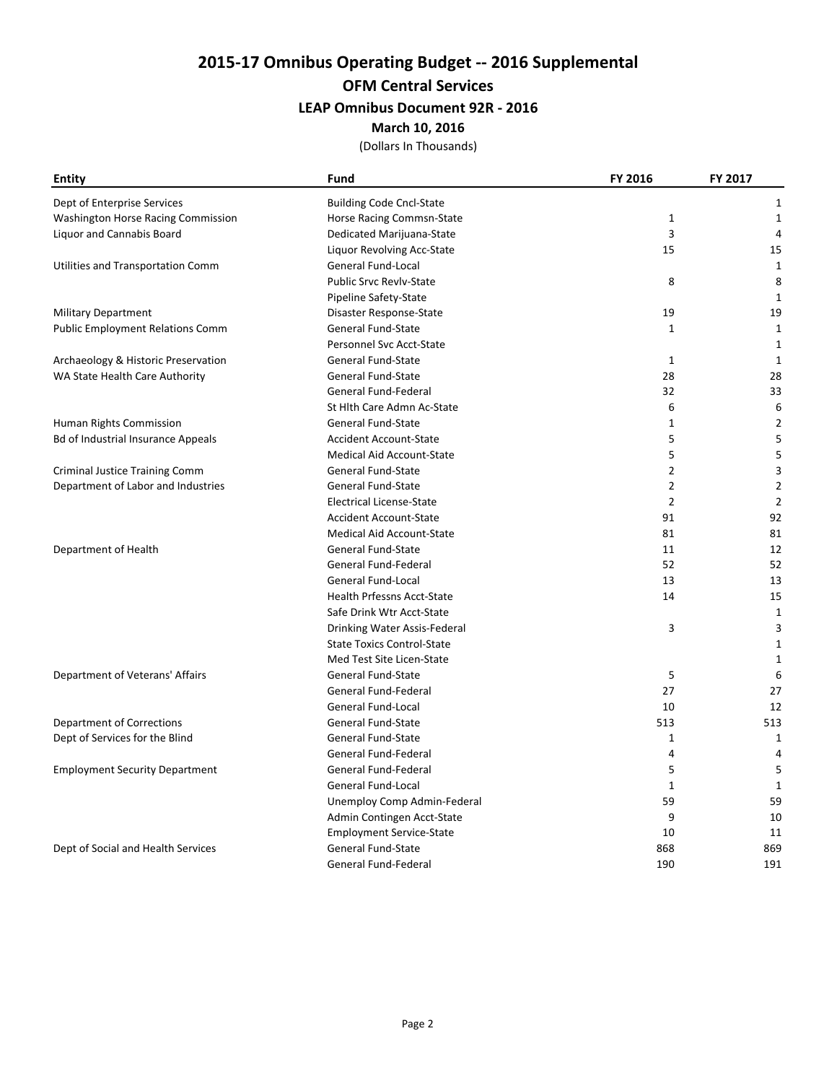# OFM Central Services

## LEAP Omnibus Document 92R - 2016

#### March 10, 2016

| <b>Entity</b>                             | <b>Fund</b>                       | FY 2016        | FY 2017        |
|-------------------------------------------|-----------------------------------|----------------|----------------|
| Dept of Enterprise Services               | <b>Building Code Cncl-State</b>   |                | 1              |
| <b>Washington Horse Racing Commission</b> | Horse Racing Commsn-State         | $\mathbf{1}$   | $\mathbf{1}$   |
| <b>Liquor and Cannabis Board</b>          | Dedicated Marijuana-State         | 3              | 4              |
|                                           | Liquor Revolving Acc-State        | 15             | 15             |
| Utilities and Transportation Comm         | General Fund-Local                |                | $\mathbf{1}$   |
|                                           | <b>Public Srvc Revlv-State</b>    | 8              | 8              |
|                                           | Pipeline Safety-State             |                | 1              |
| <b>Military Department</b>                | Disaster Response-State           | 19             | 19             |
| <b>Public Employment Relations Comm</b>   | General Fund-State                | $\mathbf{1}$   | $1\,$          |
|                                           | Personnel Svc Acct-State          |                | 1              |
| Archaeology & Historic Preservation       | General Fund-State                | 1              | 1              |
| WA State Health Care Authority            | <b>General Fund-State</b>         | 28             | 28             |
|                                           | <b>General Fund-Federal</b>       | 32             | 33             |
|                                           | St Hlth Care Admn Ac-State        | 6              | 6              |
| Human Rights Commission                   | General Fund-State                | $\mathbf{1}$   | $\overline{2}$ |
| Bd of Industrial Insurance Appeals        | <b>Accident Account-State</b>     | 5              | 5              |
|                                           | <b>Medical Aid Account-State</b>  | 5              | 5              |
| Criminal Justice Training Comm            | General Fund-State                | $\overline{2}$ | 3              |
| Department of Labor and Industries        | General Fund-State                | $\overline{2}$ | $\overline{2}$ |
|                                           | <b>Electrical License-State</b>   | $\overline{2}$ | $\overline{2}$ |
|                                           | <b>Accident Account-State</b>     | 91             | 92             |
|                                           | Medical Aid Account-State         | 81             | 81             |
| Department of Health                      | General Fund-State                | 11             | 12             |
|                                           | <b>General Fund-Federal</b>       | 52             | 52             |
|                                           | General Fund-Local                | 13             | 13             |
|                                           | <b>Health Prfessns Acct-State</b> | 14             | 15             |
|                                           | Safe Drink Wtr Acct-State         |                | $\mathbf{1}$   |
|                                           | Drinking Water Assis-Federal      | 3              | 3              |
|                                           | <b>State Toxics Control-State</b> |                | 1              |
|                                           | Med Test Site Licen-State         |                | $\mathbf{1}$   |
| Department of Veterans' Affairs           | <b>General Fund-State</b>         | 5              | 6              |
|                                           | General Fund-Federal              | 27             | 27             |
|                                           | General Fund-Local                | 10             | 12             |
| Department of Corrections                 | <b>General Fund-State</b>         | 513            | 513            |
| Dept of Services for the Blind            | <b>General Fund-State</b>         | $\mathbf{1}$   | $\mathbf{1}$   |
|                                           | General Fund-Federal              | $\overline{4}$ | 4              |
| <b>Employment Security Department</b>     | General Fund-Federal              | 5              | 5              |
|                                           | General Fund-Local                | $\mathbf{1}$   | 1              |
|                                           | Unemploy Comp Admin-Federal       | 59             | 59             |
|                                           | Admin Contingen Acct-State        | 9              | 10             |
|                                           | <b>Employment Service-State</b>   | 10             | 11             |
| Dept of Social and Health Services        | General Fund-State                | 868            | 869            |
|                                           | General Fund-Federal              | 190            | 191            |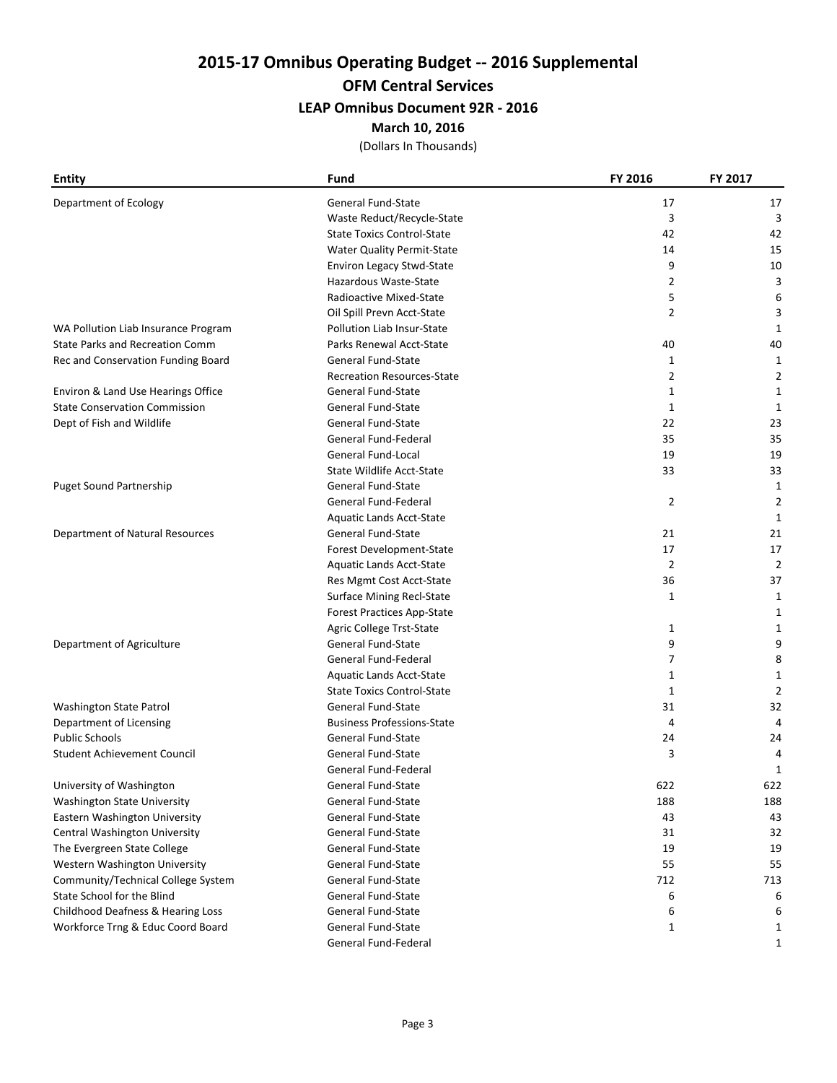#### OFM Central Services

## LEAP Omnibus Document 92R - 2016

#### March 10, 2016

| <b>Entity</b>                          | <b>Fund</b>                       | FY 2016        | FY 2017        |
|----------------------------------------|-----------------------------------|----------------|----------------|
| Department of Ecology                  | General Fund-State                | 17             | 17             |
|                                        | Waste Reduct/Recycle-State        | 3              | 3              |
|                                        | <b>State Toxics Control-State</b> | 42             | 42             |
|                                        | Water Quality Permit-State        | 14             | 15             |
|                                        | <b>Environ Legacy Stwd-State</b>  | 9              | 10             |
|                                        | Hazardous Waste-State             | $\overline{2}$ | 3              |
|                                        | Radioactive Mixed-State           | 5              | 6              |
|                                        | Oil Spill Prevn Acct-State        | $\overline{2}$ | 3              |
| WA Pollution Liab Insurance Program    | <b>Pollution Liab Insur-State</b> |                | 1              |
| <b>State Parks and Recreation Comm</b> | Parks Renewal Acct-State          | 40             | 40             |
| Rec and Conservation Funding Board     | <b>General Fund-State</b>         | 1              | 1              |
|                                        | <b>Recreation Resources-State</b> | $\overline{2}$ | 2              |
| Environ & Land Use Hearings Office     | General Fund-State                | $\mathbf{1}$   | 1              |
| <b>State Conservation Commission</b>   | General Fund-State                | $\mathbf{1}$   | 1              |
| Dept of Fish and Wildlife              | General Fund-State                | 22             | 23             |
|                                        | General Fund-Federal              | 35             | 35             |
|                                        | <b>General Fund-Local</b>         | 19             | 19             |
|                                        | <b>State Wildlife Acct-State</b>  | 33             | 33             |
| <b>Puget Sound Partnership</b>         | General Fund-State                |                | 1              |
|                                        | General Fund-Federal              | $\overline{2}$ | 2              |
|                                        | Aquatic Lands Acct-State          |                | 1              |
| Department of Natural Resources        | General Fund-State                | 21             | 21             |
|                                        | Forest Development-State          | 17             | 17             |
|                                        | Aquatic Lands Acct-State          | $\overline{2}$ | $\overline{2}$ |
|                                        | Res Mgmt Cost Acct-State          | 36             | 37             |
|                                        | <b>Surface Mining Recl-State</b>  | $\mathbf{1}$   | 1              |
|                                        | <b>Forest Practices App-State</b> |                | 1              |
|                                        | Agric College Trst-State          | 1              | 1              |
| Department of Agriculture              | <b>General Fund-State</b>         | 9              | 9              |
|                                        | General Fund-Federal              | 7              | 8              |
|                                        | Aquatic Lands Acct-State          | 1              | 1              |
|                                        | <b>State Toxics Control-State</b> | $\mathbf{1}$   | 2              |
| Washington State Patrol                | General Fund-State                | 31             | 32             |
| Department of Licensing                | <b>Business Professions-State</b> | 4              | 4              |
| <b>Public Schools</b>                  | General Fund-State                | 24             | 24             |
| <b>Student Achievement Council</b>     | General Fund-State                | 3              | 4              |
|                                        | General Fund-Federal              |                | 1              |
| University of Washington               | General Fund-State                | 622            | 622            |
| Washington State University            | General Fund-State                | 188            | 188            |
| Eastern Washington University          | General Fund-State                | 43             | 43             |
| Central Washington University          | General Fund-State                | 31             | 32             |
| The Evergreen State College            | General Fund-State                | 19             | 19             |
| Western Washington University          | General Fund-State                | 55             | 55             |
| Community/Technical College System     | General Fund-State                | 712            | 713            |
| State School for the Blind             | General Fund-State                | 6              | 6              |
| Childhood Deafness & Hearing Loss      | <b>General Fund-State</b>         | 6              | 6              |
| Workforce Trng & Educ Coord Board      | General Fund-State                | 1              | 1              |
|                                        | General Fund-Federal              |                | 1              |
|                                        |                                   |                |                |